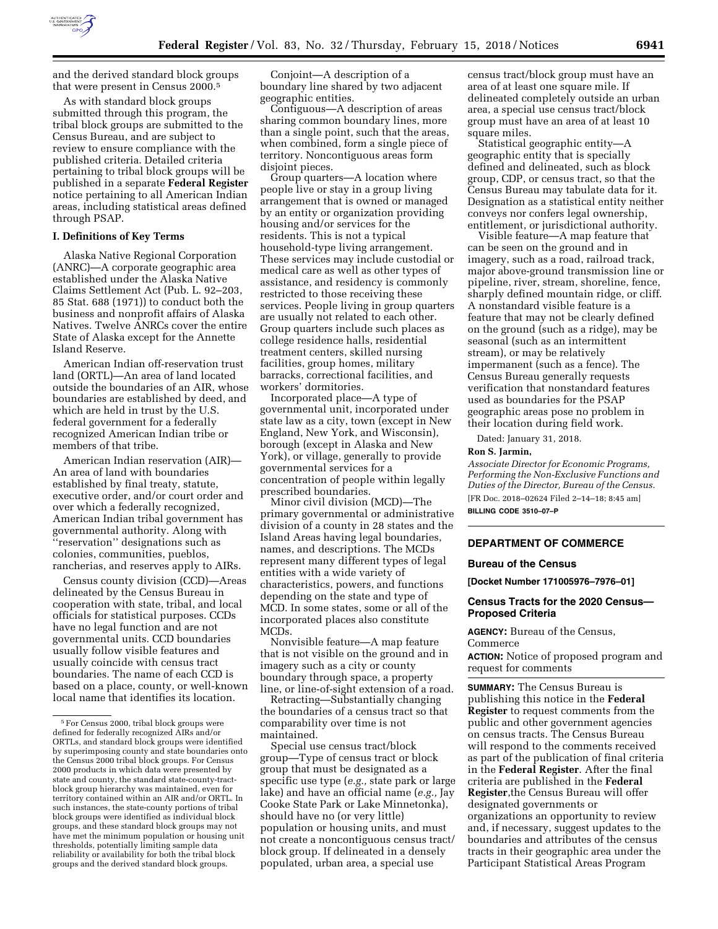

and the derived standard block groups that were present in Census 2000.5

As with standard block groups submitted through this program, the tribal block groups are submitted to the Census Bureau, and are subject to review to ensure compliance with the published criteria. Detailed criteria pertaining to tribal block groups will be published in a separate **Federal Register**  notice pertaining to all American Indian areas, including statistical areas defined through PSAP.

#### **I. Definitions of Key Terms**

Alaska Native Regional Corporation (ANRC)—A corporate geographic area established under the Alaska Native Claims Settlement Act (Pub. L. 92–203, 85 Stat. 688 (1971)) to conduct both the business and nonprofit affairs of Alaska Natives. Twelve ANRCs cover the entire State of Alaska except for the Annette Island Reserve.

American Indian off-reservation trust land (ORTL)—An area of land located outside the boundaries of an AIR, whose boundaries are established by deed, and which are held in trust by the U.S. federal government for a federally recognized American Indian tribe or members of that tribe.

American Indian reservation (AIR)— An area of land with boundaries established by final treaty, statute, executive order, and/or court order and over which a federally recognized, American Indian tribal government has governmental authority. Along with ''reservation'' designations such as colonies, communities, pueblos, rancherias, and reserves apply to AIRs.

Census county division (CCD)—Areas delineated by the Census Bureau in cooperation with state, tribal, and local officials for statistical purposes. CCDs have no legal function and are not governmental units. CCD boundaries usually follow visible features and usually coincide with census tract boundaries. The name of each CCD is based on a place, county, or well-known local name that identifies its location.

Conjoint—A description of a boundary line shared by two adjacent geographic entities.

Contiguous—A description of areas sharing common boundary lines, more than a single point, such that the areas, when combined, form a single piece of territory. Noncontiguous areas form disjoint pieces.

Group quarters—A location where people live or stay in a group living arrangement that is owned or managed by an entity or organization providing housing and/or services for the residents. This is not a typical household-type living arrangement. These services may include custodial or medical care as well as other types of assistance, and residency is commonly restricted to those receiving these services. People living in group quarters are usually not related to each other. Group quarters include such places as college residence halls, residential treatment centers, skilled nursing facilities, group homes, military barracks, correctional facilities, and workers' dormitories.

Incorporated place—A type of governmental unit, incorporated under state law as a city, town (except in New England, New York, and Wisconsin), borough (except in Alaska and New York), or village, generally to provide governmental services for a concentration of people within legally prescribed boundaries.

Minor civil division (MCD)—The primary governmental or administrative division of a county in 28 states and the Island Areas having legal boundaries, names, and descriptions. The MCDs represent many different types of legal entities with a wide variety of characteristics, powers, and functions depending on the state and type of MCD. In some states, some or all of the incorporated places also constitute MCDs.

Nonvisible feature—A map feature that is not visible on the ground and in imagery such as a city or county boundary through space, a property line, or line-of-sight extension of a road.

Retracting—Substantially changing the boundaries of a census tract so that comparability over time is not maintained.

Special use census tract/block group—Type of census tract or block group that must be designated as a specific use type (*e.g.,* state park or large lake) and have an official name (*e.g.,* Jay Cooke State Park or Lake Minnetonka), should have no (or very little) population or housing units, and must not create a noncontiguous census tract/ block group. If delineated in a densely populated, urban area, a special use

census tract/block group must have an area of at least one square mile. If delineated completely outside an urban area, a special use census tract/block group must have an area of at least 10 square miles.

Statistical geographic entity—A geographic entity that is specially defined and delineated, such as block group, CDP, or census tract, so that the Census Bureau may tabulate data for it. Designation as a statistical entity neither conveys nor confers legal ownership, entitlement, or jurisdictional authority.

Visible feature—A map feature that can be seen on the ground and in imagery, such as a road, railroad track, major above-ground transmission line or pipeline, river, stream, shoreline, fence, sharply defined mountain ridge, or cliff. A nonstandard visible feature is a feature that may not be clearly defined on the ground (such as a ridge), may be seasonal (such as an intermittent stream), or may be relatively impermanent (such as a fence). The Census Bureau generally requests verification that nonstandard features used as boundaries for the PSAP geographic areas pose no problem in their location during field work.

Dated: January 31, 2018.

#### **Ron S. Jarmin,**

*Associate Director for Economic Programs, Performing the Non-Exclusive Functions and Duties of the Director, Bureau of the Census.*  [FR Doc. 2018–02624 Filed 2–14–18; 8:45 am] **BILLING CODE 3510–07–P** 

#### **DEPARTMENT OF COMMERCE**

#### **Bureau of the Census**

**[Docket Number 171005976–7976–01]** 

## **Census Tracts for the 2020 Census— Proposed Criteria**

**AGENCY:** Bureau of the Census, Commerce

**ACTION:** Notice of proposed program and request for comments

**SUMMARY:** The Census Bureau is publishing this notice in the **Federal Register** to request comments from the public and other government agencies on census tracts. The Census Bureau will respond to the comments received as part of the publication of final criteria in the **Federal Register**. After the final criteria are published in the **Federal Register**,the Census Bureau will offer designated governments or organizations an opportunity to review and, if necessary, suggest updates to the boundaries and attributes of the census tracts in their geographic area under the Participant Statistical Areas Program

<sup>5</sup>For Census 2000, tribal block groups were defined for federally recognized AIRs and/or ORTLs, and standard block groups were identified by superimposing county and state boundaries onto the Census 2000 tribal block groups. For Census 2000 products in which data were presented by state and county, the standard state-county-tractblock group hierarchy was maintained, even for territory contained within an AIR and/or ORTL. In such instances, the state-county portions of tribal block groups were identified as individual block groups, and these standard block groups may not have met the minimum population or housing unit thresholds, potentially limiting sample data reliability or availability for both the tribal block groups and the derived standard block groups.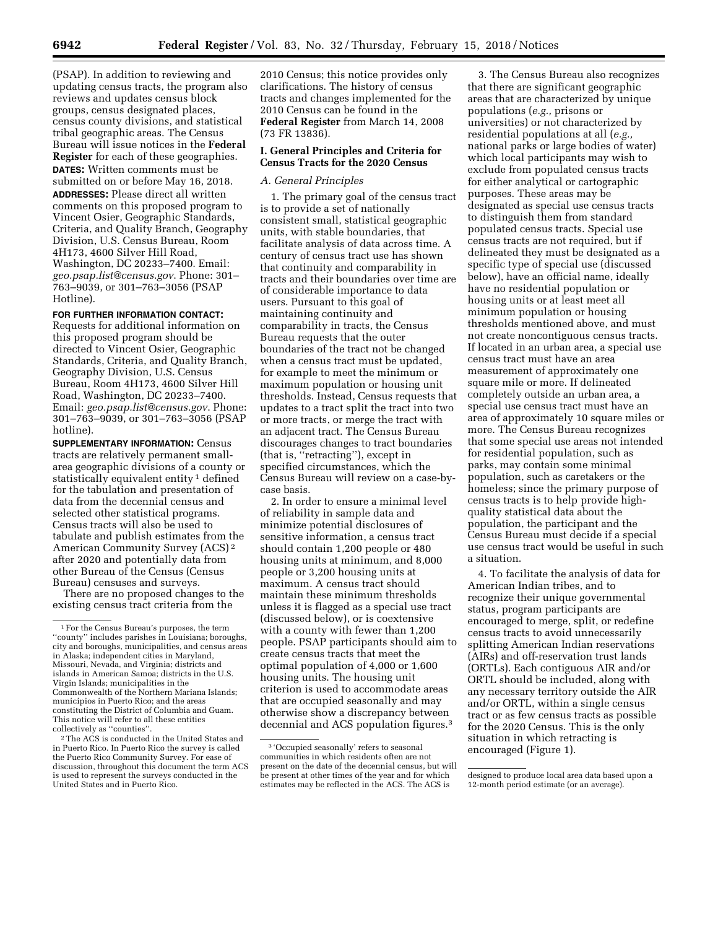(PSAP). In addition to reviewing and updating census tracts, the program also reviews and updates census block groups, census designated places, census county divisions, and statistical tribal geographic areas. The Census Bureau will issue notices in the **Federal Register** for each of these geographies. **DATES:** Written comments must be submitted on or before May 16, 2018. **ADDRESSES:** Please direct all written comments on this proposed program to Vincent Osier, Geographic Standards, Criteria, and Quality Branch, Geography Division, U.S. Census Bureau, Room 4H173, 4600 Silver Hill Road, Washington, DC 20233–7400. Email: *[geo.psap.list@census.gov](mailto:geo.psap.list@census.gov)*. Phone: 301– 763–9039, or 301–763–3056 (PSAP Hotline).

#### **FOR FURTHER INFORMATION CONTACT:**

Requests for additional information on this proposed program should be directed to Vincent Osier, Geographic Standards, Criteria, and Quality Branch, Geography Division, U.S. Census Bureau, Room 4H173, 4600 Silver Hill Road, Washington, DC 20233–7400. Email: *[geo.psap.list@census.gov](mailto:geo.psap.list@census.gov)*. Phone: 301–763–9039, or 301–763–3056 (PSAP hotline).

**SUPPLEMENTARY INFORMATION:** Census tracts are relatively permanent smallarea geographic divisions of a county or statistically equivalent entity 1 defined for the tabulation and presentation of data from the decennial census and selected other statistical programs. Census tracts will also be used to tabulate and publish estimates from the American Community Survey (ACS) 2 after 2020 and potentially data from other Bureau of the Census (Census Bureau) censuses and surveys.

There are no proposed changes to the existing census tract criteria from the

2010 Census; this notice provides only clarifications. The history of census tracts and changes implemented for the 2010 Census can be found in the **Federal Register** from March 14, 2008 (73 FR 13836).

#### **I. General Principles and Criteria for Census Tracts for the 2020 Census**

## *A. General Principles*

1. The primary goal of the census tract is to provide a set of nationally consistent small, statistical geographic units, with stable boundaries, that facilitate analysis of data across time. A century of census tract use has shown that continuity and comparability in tracts and their boundaries over time are of considerable importance to data users. Pursuant to this goal of maintaining continuity and comparability in tracts, the Census Bureau requests that the outer boundaries of the tract not be changed when a census tract must be updated, for example to meet the minimum or maximum population or housing unit thresholds. Instead, Census requests that updates to a tract split the tract into two or more tracts, or merge the tract with an adjacent tract. The Census Bureau discourages changes to tract boundaries (that is, ''retracting''), except in specified circumstances, which the Census Bureau will review on a case-bycase basis.

2. In order to ensure a minimal level of reliability in sample data and minimize potential disclosures of sensitive information, a census tract should contain 1,200 people or 480 housing units at minimum, and 8,000 people or 3,200 housing units at maximum. A census tract should maintain these minimum thresholds unless it is flagged as a special use tract (discussed below), or is coextensive with a county with fewer than 1,200 people. PSAP participants should aim to create census tracts that meet the optimal population of 4,000 or 1,600 housing units. The housing unit criterion is used to accommodate areas that are occupied seasonally and may otherwise show a discrepancy between decennial and ACS population figures.3

3. The Census Bureau also recognizes that there are significant geographic areas that are characterized by unique populations (*e.g.,* prisons or universities) or not characterized by residential populations at all (*e.g.,*  national parks or large bodies of water) which local participants may wish to exclude from populated census tracts for either analytical or cartographic purposes. These areas may be designated as special use census tracts to distinguish them from standard populated census tracts. Special use census tracts are not required, but if delineated they must be designated as a specific type of special use (discussed below), have an official name, ideally have no residential population or housing units or at least meet all minimum population or housing thresholds mentioned above, and must not create noncontiguous census tracts. If located in an urban area, a special use census tract must have an area measurement of approximately one square mile or more. If delineated completely outside an urban area, a special use census tract must have an area of approximately 10 square miles or more. The Census Bureau recognizes that some special use areas not intended for residential population, such as parks, may contain some minimal population, such as caretakers or the homeless; since the primary purpose of census tracts is to help provide highquality statistical data about the population, the participant and the Census Bureau must decide if a special use census tract would be useful in such a situation.

4. To facilitate the analysis of data for American Indian tribes, and to recognize their unique governmental status, program participants are encouraged to merge, split, or redefine census tracts to avoid unnecessarily splitting American Indian reservations (AIRs) and off-reservation trust lands (ORTLs). Each contiguous AIR and/or ORTL should be included, along with any necessary territory outside the AIR and/or ORTL, within a single census tract or as few census tracts as possible for the 2020 Census. This is the only situation in which retracting is encouraged (Figure 1).

<sup>1</sup>For the Census Bureau's purposes, the term ''county'' includes parishes in Louisiana; boroughs, city and boroughs, municipalities, and census areas in Alaska; independent cities in Maryland, Missouri, Nevada, and Virginia; districts and islands in American Samoa; districts in the U.S. Virgin Islands; municipalities in the Commonwealth of the Northern Mariana Islands; municipios in Puerto Rico; and the areas constituting the District of Columbia and Guam. This notice will refer to all these entities collectively as ''counties''.

<sup>2</sup>The ACS is conducted in the United States and in Puerto Rico. In Puerto Rico the survey is called the Puerto Rico Community Survey. For ease of discussion, throughout this document the term ACS is used to represent the surveys conducted in the United States and in Puerto Rico.

<sup>3</sup> 'Occupied seasonally' refers to seasonal communities in which residents often are not present on the date of the decennial census, but will be present at other times of the year and for which estimates may be reflected in the ACS. The ACS is

designed to produce local area data based upon a 12-month period estimate (or an average).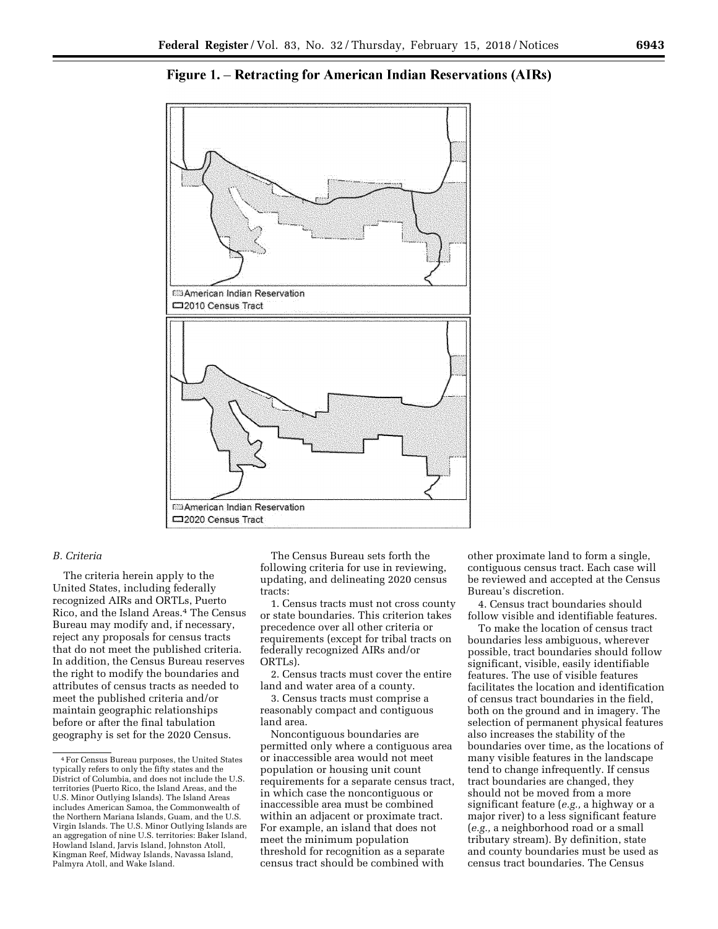

Figure 1. – Retracting for American Indian Reservations (AIRs)

## *B. Criteria*

The criteria herein apply to the United States, including federally recognized AIRs and ORTLs, Puerto Rico, and the Island Areas.4 The Census Bureau may modify and, if necessary, reject any proposals for census tracts that do not meet the published criteria. In addition, the Census Bureau reserves the right to modify the boundaries and attributes of census tracts as needed to meet the published criteria and/or maintain geographic relationships before or after the final tabulation geography is set for the 2020 Census.

The Census Bureau sets forth the following criteria for use in reviewing, updating, and delineating 2020 census tracts:

1. Census tracts must not cross county or state boundaries. This criterion takes precedence over all other criteria or requirements (except for tribal tracts on federally recognized AIRs and/or ORTLs).

2. Census tracts must cover the entire land and water area of a county.

3. Census tracts must comprise a reasonably compact and contiguous land area.

Noncontiguous boundaries are permitted only where a contiguous area or inaccessible area would not meet population or housing unit count requirements for a separate census tract, in which case the noncontiguous or inaccessible area must be combined within an adjacent or proximate tract. For example, an island that does not meet the minimum population threshold for recognition as a separate census tract should be combined with

other proximate land to form a single, contiguous census tract. Each case will be reviewed and accepted at the Census Bureau's discretion.

4. Census tract boundaries should follow visible and identifiable features.

To make the location of census tract boundaries less ambiguous, wherever possible, tract boundaries should follow significant, visible, easily identifiable features. The use of visible features facilitates the location and identification of census tract boundaries in the field, both on the ground and in imagery. The selection of permanent physical features also increases the stability of the boundaries over time, as the locations of many visible features in the landscape tend to change infrequently. If census tract boundaries are changed, they should not be moved from a more significant feature (*e.g.,* a highway or a major river) to a less significant feature (*e.g.,* a neighborhood road or a small tributary stream). By definition, state and county boundaries must be used as census tract boundaries. The Census

<sup>4</sup>For Census Bureau purposes, the United States typically refers to only the fifty states and the District of Columbia, and does not include the U.S. territories (Puerto Rico, the Island Areas, and the U.S. Minor Outlying Islands). The Island Areas includes American Samoa, the Commonwealth of the Northern Mariana Islands, Guam, and the U.S. Virgin Islands. The U.S. Minor Outlying Islands are an aggregation of nine U.S. territories: Baker Island, Howland Island, Jarvis Island, Johnston Atoll, Kingman Reef, Midway Islands, Navassa Island, Palmyra Atoll, and Wake Island.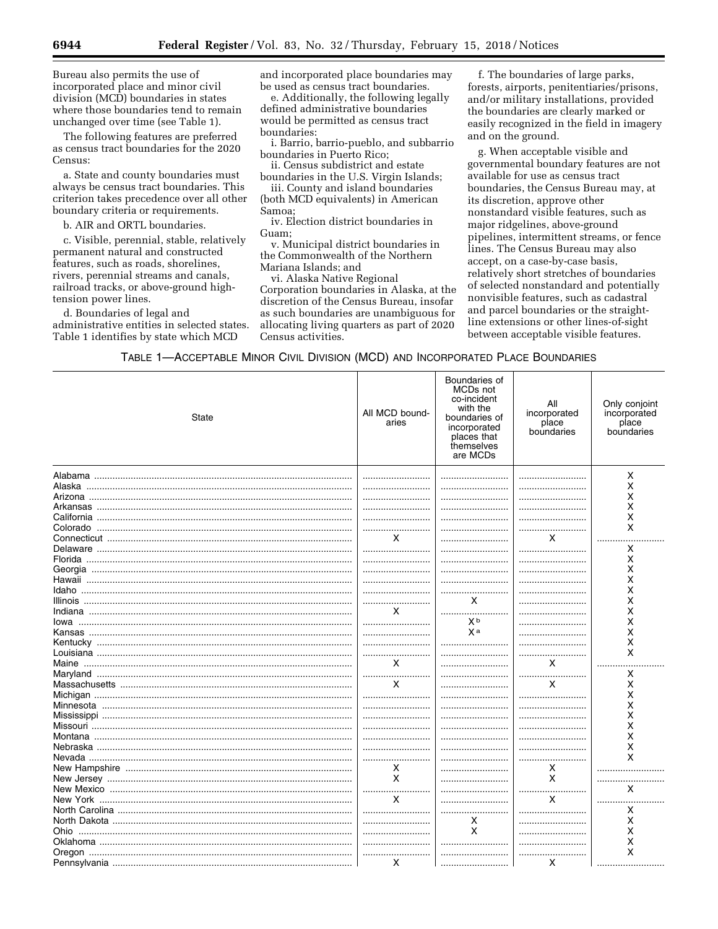Bureau also permits the use of incorporated place and minor civil division (MCD) boundaries in states where those boundaries tend to remain unchanged over time (see Table 1).

The following features are preferred as census tract boundaries for the 2020 Census<sup>.</sup>

a. State and county boundaries must always be census tract boundaries. This criterion takes precedence over all other boundary criteria or requirements.

b. AIR and ORTL boundaries.

c. Visible, perennial, stable, relatively permanent natural and constructed features, such as roads, shorelines, rivers, perennial streams and canals, railroad tracks, or above-ground hightension power lines.

d. Boundaries of legal and administrative entities in selected states. Table 1 identifies by state which MCD

and incorporated place boundaries may be used as census tract boundaries.

e. Additionally, the following legally defined administrative boundaries would be permitted as census tract boundaries:

i. Barrio, barrio-pueblo, and subbarrio boundaries in Puerto Rico;

ii. Census subdistrict and estate boundaries in the U.S. Virgin Islands;

iii. County and island boundaries (both MCD equivalents) in American Samoa:

iv. Election district boundaries in  $G<sub>l</sub>$ am

v. Municipal district boundaries in the Commonwealth of the Northern Mariana Islands; and

vi. Alaska Native Regional Corporation boundaries in Alaska, at the discretion of the Census Bureau, insofar as such boundaries are unambiguous for allocating living quarters as part of 2020 Census activities.

f. The boundaries of large parks, forests, airports, penitentiaries/prisons, and/or military installations, provided the boundaries are clearly marked or easily recognized in the field in imagery and on the ground.

g. When acceptable visible and governmental boundary features are not available for use as census tract boundaries, the Census Bureau may, at its discretion, approve other nonstandard visible features, such as major ridgelines, above-ground pipelines, intermittent streams, or fence lines. The Census Bureau may also accept, on a case-by-case basis, relatively short stretches of boundaries of selected nonstandard and potentially nonvisible features, such as cadastral and parcel boundaries or the straightline extensions or other lines-of-sight between acceptable visible features.

TABLE 1-ACCEPTABLE MINOR CIVIL DIVISION (MCD) AND INCORPORATED PLACE BOUNDARIES

| <b>State</b> | All MCD bound-<br>aries | Boundaries of<br>MCDs not<br>co-incident<br>with the<br>boundaries of<br>incorporated<br>places that<br>themselves<br>are MCDs | All<br>incorporated<br>place<br>boundaries | Only conjoint<br>incorporated<br>place<br>boundaries |
|--------------|-------------------------|--------------------------------------------------------------------------------------------------------------------------------|--------------------------------------------|------------------------------------------------------|
|              |                         |                                                                                                                                |                                            | X                                                    |
|              |                         |                                                                                                                                |                                            |                                                      |
|              |                         |                                                                                                                                |                                            | X                                                    |
|              |                         |                                                                                                                                |                                            | x                                                    |
|              |                         |                                                                                                                                |                                            | Χ                                                    |
|              |                         |                                                                                                                                |                                            | Χ                                                    |
|              |                         |                                                                                                                                |                                            | X                                                    |
|              | X                       |                                                                                                                                | X                                          | .                                                    |
|              |                         |                                                                                                                                |                                            | X                                                    |
|              |                         |                                                                                                                                |                                            | x                                                    |
|              |                         |                                                                                                                                |                                            | х                                                    |
|              |                         |                                                                                                                                |                                            | Χ                                                    |
|              |                         |                                                                                                                                |                                            | Χ                                                    |
|              |                         | X                                                                                                                              |                                            | Χ                                                    |
|              | x                       |                                                                                                                                |                                            | Χ                                                    |
|              |                         | X <sub>b</sub>                                                                                                                 |                                            | X                                                    |
|              |                         | Xa                                                                                                                             |                                            | Χ                                                    |
|              |                         |                                                                                                                                |                                            | x                                                    |
|              |                         |                                                                                                                                |                                            | X                                                    |
|              | x                       |                                                                                                                                | X                                          |                                                      |
|              |                         |                                                                                                                                |                                            | Χ                                                    |
|              | х                       |                                                                                                                                | x                                          | x                                                    |
|              |                         |                                                                                                                                |                                            | X                                                    |
|              |                         |                                                                                                                                |                                            | X                                                    |
|              |                         |                                                                                                                                |                                            | X                                                    |
|              |                         |                                                                                                                                |                                            | x                                                    |
|              |                         |                                                                                                                                |                                            | Χ                                                    |
|              |                         |                                                                                                                                |                                            | Χ                                                    |
|              |                         |                                                                                                                                |                                            | x                                                    |
|              | Χ                       |                                                                                                                                | х                                          |                                                      |
|              | X                       |                                                                                                                                | X                                          |                                                      |
|              |                         |                                                                                                                                | <br>.                                      | x                                                    |
|              | X                       |                                                                                                                                | X                                          | .                                                    |
|              |                         |                                                                                                                                |                                            | x                                                    |
|              |                         | X                                                                                                                              |                                            | Χ                                                    |
|              |                         | X                                                                                                                              |                                            | Χ                                                    |
|              |                         |                                                                                                                                |                                            | Χ                                                    |
|              |                         |                                                                                                                                |                                            | X                                                    |
|              | X                       |                                                                                                                                | X                                          |                                                      |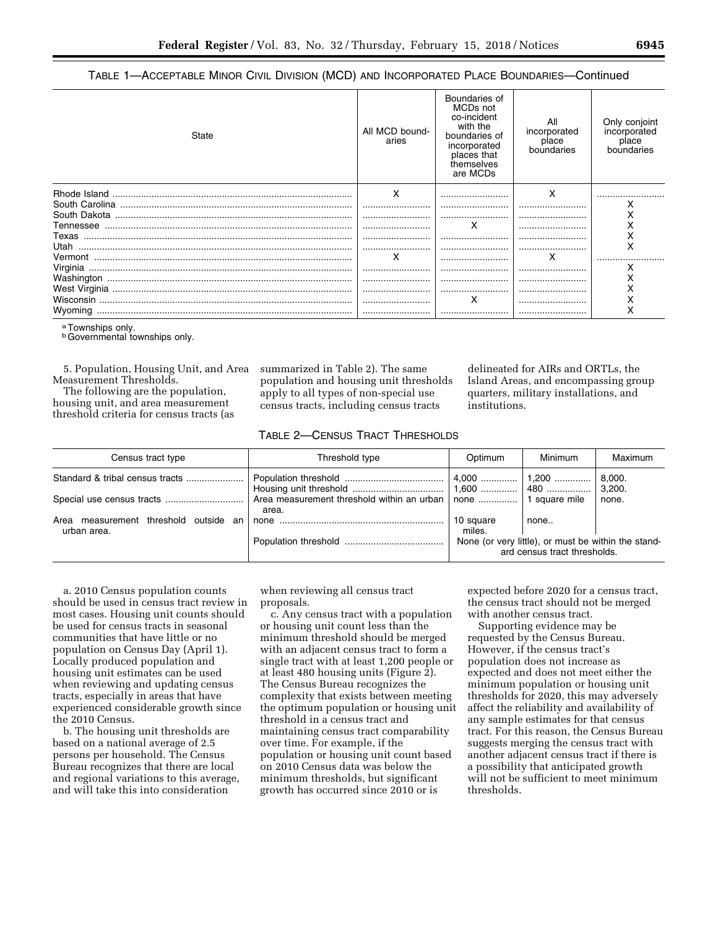TABLE 1—ACCEPTABLE MINOR CIVIL DIVISION (MCD) AND INCORPORATED PLACE BOUNDARIES—Continued

| State    | All MCD bound-<br>aries | Boundaries of<br>MCDs not<br>co-incident<br>with the<br>boundaries of<br>incorporated<br>places that<br>themselves<br>are MCDs | All<br>incorporated<br>place<br>boundaries | Only conjoint<br>incorporated<br>place<br>boundaries |
|----------|-------------------------|--------------------------------------------------------------------------------------------------------------------------------|--------------------------------------------|------------------------------------------------------|
|          | x                       |                                                                                                                                | x                                          |                                                      |
|          |                         |                                                                                                                                |                                            |                                                      |
|          |                         |                                                                                                                                |                                            |                                                      |
|          |                         | х                                                                                                                              |                                            |                                                      |
| Texas    |                         |                                                                                                                                |                                            |                                                      |
| Utah     |                         |                                                                                                                                |                                            | х                                                    |
|          | х                       |                                                                                                                                | x                                          |                                                      |
| Virginia |                         |                                                                                                                                |                                            |                                                      |
|          |                         |                                                                                                                                |                                            | x                                                    |
|          |                         |                                                                                                                                |                                            | х                                                    |
|          |                         | х                                                                                                                              |                                            | х                                                    |
| Wyoming  |                         |                                                                                                                                |                                            | х                                                    |

a Townships only.

**b** Governmental townships only.

5. Population, Housing Unit, and Area Measurement Thresholds.

The following are the population, housing unit, and area measurement threshold criteria for census tracts (as summarized in Table 2). The same population and housing unit thresholds apply to all types of non-special use census tracts, including census tracts

## TABLE 2—CENSUS TRACT THRESHOLDS

| Census tract type                                       | Threshold type                                                              | Optimum                                                                             | Minimum | Maximum          |
|---------------------------------------------------------|-----------------------------------------------------------------------------|-------------------------------------------------------------------------------------|---------|------------------|
|                                                         |                                                                             |                                                                                     |         | 8,000.<br>3,200. |
|                                                         | Area measurement threshold within an urban   none    1 square mile<br>area. |                                                                                     |         | none.            |
| measurement threshold outside an<br>Area<br>urban area. |                                                                             | 10 square<br>miles.                                                                 | none    |                  |
|                                                         |                                                                             | None (or very little), or must be within the stand-<br>ard census tract thresholds. |         |                  |

a. 2010 Census population counts should be used in census tract review in most cases. Housing unit counts should be used for census tracts in seasonal communities that have little or no population on Census Day (April 1). Locally produced population and housing unit estimates can be used when reviewing and updating census tracts, especially in areas that have experienced considerable growth since the 2010 Census.

b. The housing unit thresholds are based on a national average of 2.5 persons per household. The Census Bureau recognizes that there are local and regional variations to this average, and will take this into consideration

when reviewing all census tract proposals.

c. Any census tract with a population or housing unit count less than the minimum threshold should be merged with an adjacent census tract to form a single tract with at least 1,200 people or at least 480 housing units (Figure 2). The Census Bureau recognizes the complexity that exists between meeting the optimum population or housing unit threshold in a census tract and maintaining census tract comparability over time. For example, if the population or housing unit count based on 2010 Census data was below the minimum thresholds, but significant growth has occurred since 2010 or is

expected before 2020 for a census tract, the census tract should not be merged with another census tract.

delineated for AIRs and ORTLs, the Island Areas, and encompassing group quarters, military installations, and

institutions.

Supporting evidence may be requested by the Census Bureau. However, if the census tract's population does not increase as expected and does not meet either the minimum population or housing unit thresholds for 2020, this may adversely affect the reliability and availability of any sample estimates for that census tract. For this reason, the Census Bureau suggests merging the census tract with another adjacent census tract if there is a possibility that anticipated growth will not be sufficient to meet minimum thresholds.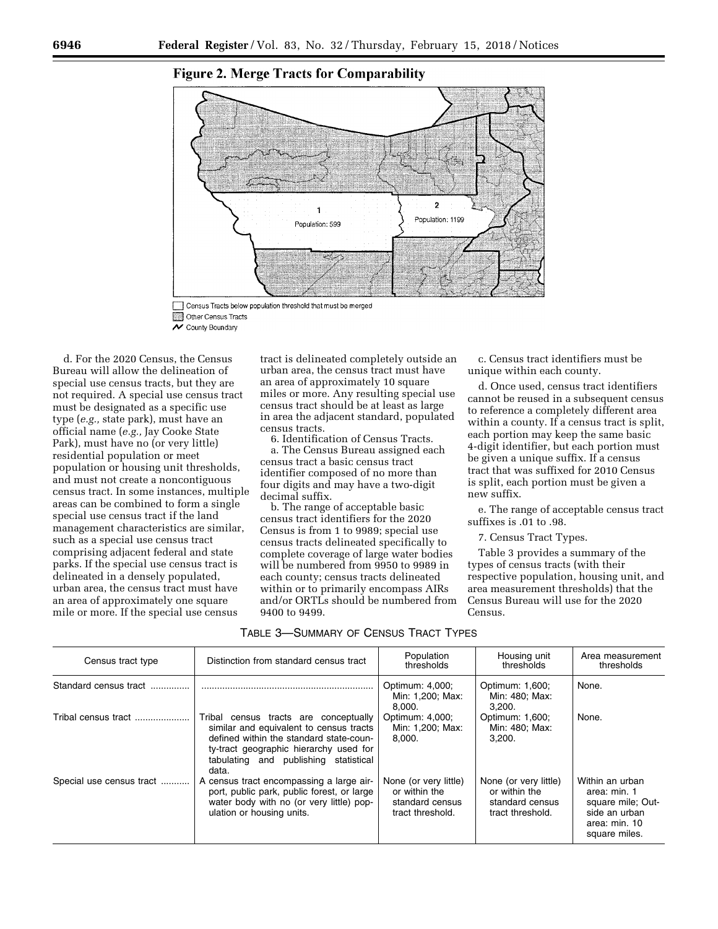

# **Figure 2. Merge Tracts for Comparability**

Census Tracts below population threshold that must be merged Other Census Tracts V County Boundary

d. For the 2020 Census, the Census Bureau will allow the delineation of special use census tracts, but they are not required. A special use census tract must be designated as a specific use type (*e.g.,* state park), must have an official name (*e.g.,* Jay Cooke State Park), must have no (or very little) residential population or meet population or housing unit thresholds, and must not create a noncontiguous census tract. In some instances, multiple areas can be combined to form a single special use census tract if the land management characteristics are similar, such as a special use census tract comprising adjacent federal and state parks. If the special use census tract is delineated in a densely populated, urban area, the census tract must have an area of approximately one square mile or more. If the special use census

tract is delineated completely outside an urban area, the census tract must have an area of approximately 10 square miles or more. Any resulting special use census tract should be at least as large in area the adjacent standard, populated census tracts.

6. Identification of Census Tracts. a. The Census Bureau assigned each census tract a basic census tract identifier composed of no more than four digits and may have a two-digit decimal suffix.

b. The range of acceptable basic census tract identifiers for the 2020 Census is from 1 to 9989; special use census tracts delineated specifically to complete coverage of large water bodies will be numbered from 9950 to 9989 in each county; census tracts delineated within or to primarily encompass AIRs and/or ORTLs should be numbered from 9400 to 9499.

c. Census tract identifiers must be unique within each county.

d. Once used, census tract identifiers cannot be reused in a subsequent census to reference a completely different area within a county. If a census tract is split, each portion may keep the same basic 4-digit identifier, but each portion must be given a unique suffix. If a census tract that was suffixed for 2010 Census is split, each portion must be given a new suffix.

e. The range of acceptable census tract suffixes is .01 to .98.

7. Census Tract Types.

Table 3 provides a summary of the types of census tracts (with their respective population, housing unit, and area measurement thresholds) that the Census Bureau will use for the 2020 Census.

| Census tract type        | Distinction from standard census tract                                                                                                                                                                                  | Population<br>thresholds                                                      | Housing unit<br>thresholds                                                    | Area measurement<br>thresholds                                                                          |
|--------------------------|-------------------------------------------------------------------------------------------------------------------------------------------------------------------------------------------------------------------------|-------------------------------------------------------------------------------|-------------------------------------------------------------------------------|---------------------------------------------------------------------------------------------------------|
| Standard census tract    |                                                                                                                                                                                                                         | Optimum: 4,000;<br>Min: 1,200; Max:<br>8,000.                                 | Optimum: 1,600;<br>Min: 480; Max:<br>3,200.                                   | None.                                                                                                   |
| Tribal census tract      | Tribal census tracts are conceptually<br>similar and equivalent to census tracts<br>defined within the standard state-coun-<br>ty-tract geographic hierarchy used for<br>tabulating and publishing statistical<br>data. | Optimum: 4,000;<br>Min: 1,200; Max:<br>8.000.                                 | Optimum: 1,600;<br>Min: 480; Max:<br>3.200.                                   | None.                                                                                                   |
| Special use census tract | A census tract encompassing a large air-<br>port, public park, public forest, or large<br>water body with no (or very little) pop-<br>ulation or housing units.                                                         | None (or very little)<br>or within the<br>standard census<br>tract threshold. | None (or very little)<br>or within the<br>standard census<br>tract threshold. | Within an urban<br>area: min. 1<br>square mile; Out-<br>side an urban<br>area: min. 10<br>square miles. |

#### TABLE 3—SUMMARY OF CENSUS TRACT TYPES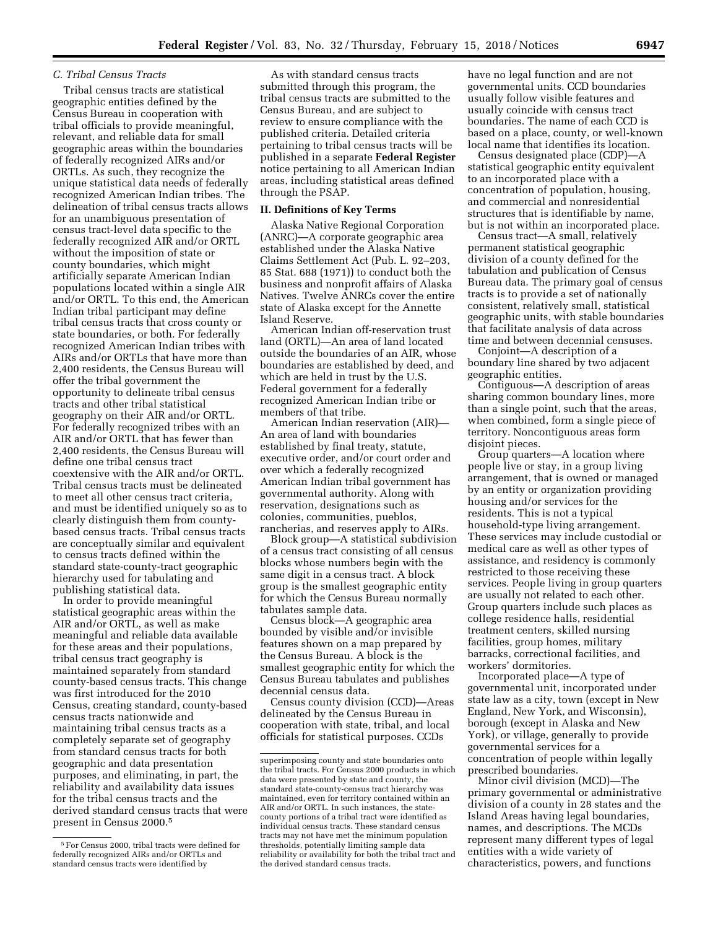#### *C. Tribal Census Tracts*

Tribal census tracts are statistical geographic entities defined by the Census Bureau in cooperation with tribal officials to provide meaningful, relevant, and reliable data for small geographic areas within the boundaries of federally recognized AIRs and/or ORTLs. As such, they recognize the unique statistical data needs of federally recognized American Indian tribes. The delineation of tribal census tracts allows for an unambiguous presentation of census tract-level data specific to the federally recognized AIR and/or ORTL without the imposition of state or county boundaries, which might artificially separate American Indian populations located within a single AIR and/or ORTL. To this end, the American Indian tribal participant may define tribal census tracts that cross county or state boundaries, or both. For federally recognized American Indian tribes with AIRs and/or ORTLs that have more than 2,400 residents, the Census Bureau will offer the tribal government the opportunity to delineate tribal census tracts and other tribal statistical geography on their AIR and/or ORTL. For federally recognized tribes with an AIR and/or ORTL that has fewer than 2,400 residents, the Census Bureau will define one tribal census tract coextensive with the AIR and/or ORTL. Tribal census tracts must be delineated to meet all other census tract criteria, and must be identified uniquely so as to clearly distinguish them from countybased census tracts. Tribal census tracts are conceptually similar and equivalent to census tracts defined within the standard state-county-tract geographic hierarchy used for tabulating and publishing statistical data.

In order to provide meaningful statistical geographic areas within the AIR and/or ORTL, as well as make meaningful and reliable data available for these areas and their populations, tribal census tract geography is maintained separately from standard county-based census tracts. This change was first introduced for the 2010 Census, creating standard, county-based census tracts nationwide and maintaining tribal census tracts as a completely separate set of geography from standard census tracts for both geographic and data presentation purposes, and eliminating, in part, the reliability and availability data issues for the tribal census tracts and the derived standard census tracts that were present in Census 2000.5

As with standard census tracts submitted through this program, the tribal census tracts are submitted to the Census Bureau, and are subject to review to ensure compliance with the published criteria. Detailed criteria pertaining to tribal census tracts will be published in a separate **Federal Register**  notice pertaining to all American Indian areas, including statistical areas defined through the PSAP.

## **II. Definitions of Key Terms**

Alaska Native Regional Corporation (ANRC)—A corporate geographic area established under the Alaska Native Claims Settlement Act (Pub. L. 92–203, 85 Stat. 688 (1971)) to conduct both the business and nonprofit affairs of Alaska Natives. Twelve ANRCs cover the entire state of Alaska except for the Annette Island Reserve.

American Indian off-reservation trust land (ORTL)—An area of land located outside the boundaries of an AIR, whose boundaries are established by deed, and which are held in trust by the U.S. Federal government for a federally recognized American Indian tribe or members of that tribe.

American Indian reservation (AIR)— An area of land with boundaries established by final treaty, statute, executive order, and/or court order and over which a federally recognized American Indian tribal government has governmental authority. Along with reservation, designations such as colonies, communities, pueblos, rancherias, and reserves apply to AIRs.

Block group—A statistical subdivision of a census tract consisting of all census blocks whose numbers begin with the same digit in a census tract. A block group is the smallest geographic entity for which the Census Bureau normally tabulates sample data.

Census block—A geographic area bounded by visible and/or invisible features shown on a map prepared by the Census Bureau. A block is the smallest geographic entity for which the Census Bureau tabulates and publishes decennial census data.

Census county division (CCD)—Areas delineated by the Census Bureau in cooperation with state, tribal, and local officials for statistical purposes. CCDs

have no legal function and are not governmental units. CCD boundaries usually follow visible features and usually coincide with census tract boundaries. The name of each CCD is based on a place, county, or well-known local name that identifies its location.

Census designated place (CDP)—A statistical geographic entity equivalent to an incorporated place with a concentration of population, housing, and commercial and nonresidential structures that is identifiable by name, but is not within an incorporated place.

Census tract—A small, relatively permanent statistical geographic division of a county defined for the tabulation and publication of Census Bureau data. The primary goal of census tracts is to provide a set of nationally consistent, relatively small, statistical geographic units, with stable boundaries that facilitate analysis of data across time and between decennial censuses.

Conjoint—A description of a boundary line shared by two adjacent geographic entities.

Contiguous—A description of areas sharing common boundary lines, more than a single point, such that the areas, when combined, form a single piece of territory. Noncontiguous areas form disjoint pieces.

Group quarters—A location where people live or stay, in a group living arrangement, that is owned or managed by an entity or organization providing housing and/or services for the residents. This is not a typical household-type living arrangement. These services may include custodial or medical care as well as other types of assistance, and residency is commonly restricted to those receiving these services. People living in group quarters are usually not related to each other. Group quarters include such places as college residence halls, residential treatment centers, skilled nursing facilities, group homes, military barracks, correctional facilities, and workers' dormitories.

Incorporated place—A type of governmental unit, incorporated under state law as a city, town (except in New England, New York, and Wisconsin), borough (except in Alaska and New York), or village, generally to provide governmental services for a concentration of people within legally prescribed boundaries.

Minor civil division (MCD)—The primary governmental or administrative division of a county in 28 states and the Island Areas having legal boundaries, names, and descriptions. The MCDs represent many different types of legal entities with a wide variety of characteristics, powers, and functions

<sup>5</sup>For Census 2000, tribal tracts were defined for federally recognized AIRs and/or ORTLs and standard census tracts were identified by

superimposing county and state boundaries onto the tribal tracts. For Census 2000 products in which data were presented by state and county, the standard state-county-census tract hierarchy was maintained, even for territory contained within an AIR and/or ORTL. In such instances, the statecounty portions of a tribal tract were identified as individual census tracts. These standard census tracts may not have met the minimum population thresholds, potentially limiting sample data reliability or availability for both the tribal tract and the derived standard census tracts.